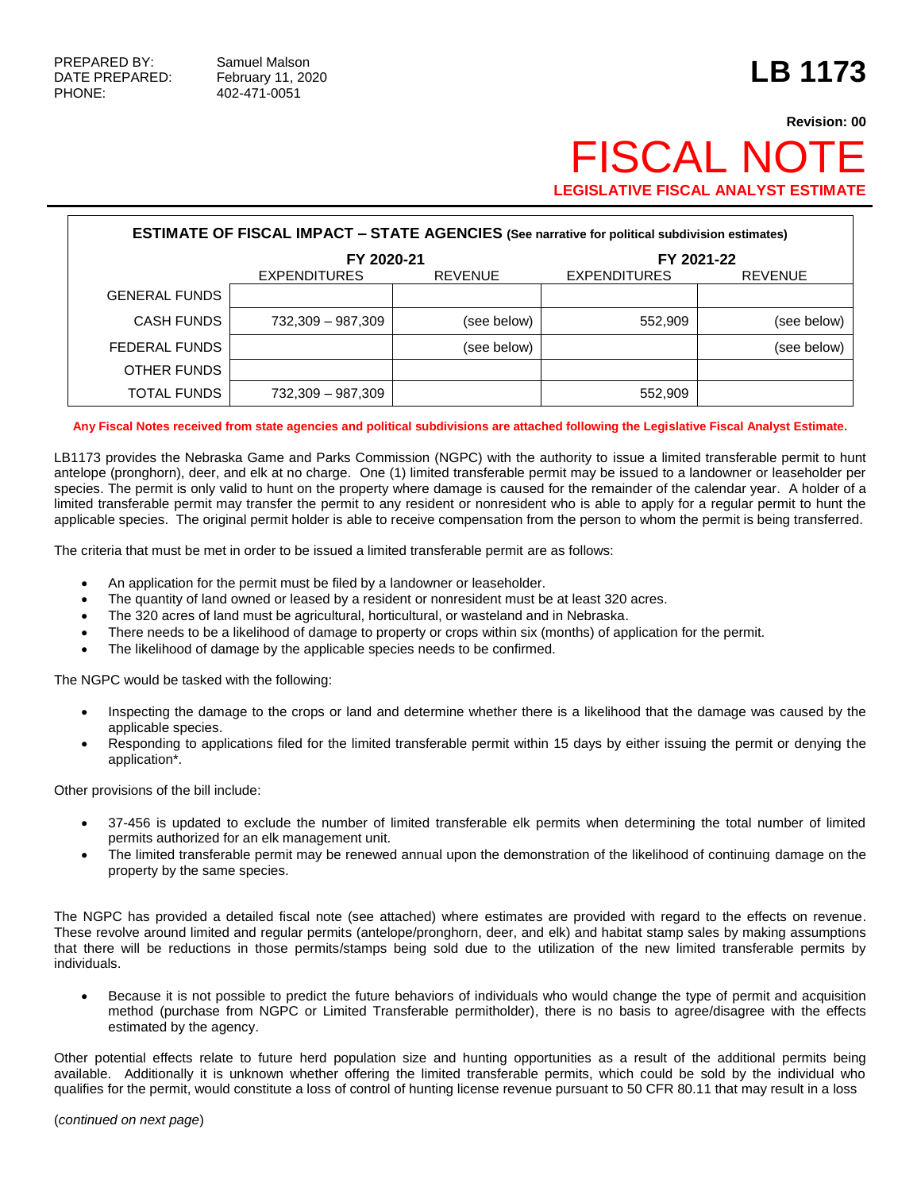## **Revision: 00** FISCAL NO **LEGISLATIVE FISCAL ANALYST ESTIMATE**

| <b>ESTIMATE OF FISCAL IMPACT - STATE AGENCIES (See narrative for political subdivision estimates)</b> |                     |                |                     |                |  |  |  |
|-------------------------------------------------------------------------------------------------------|---------------------|----------------|---------------------|----------------|--|--|--|
|                                                                                                       | FY 2020-21          |                | FY 2021-22          |                |  |  |  |
|                                                                                                       | <b>EXPENDITURES</b> | <b>REVENUE</b> | <b>EXPENDITURES</b> | <b>REVENUE</b> |  |  |  |
| <b>GENERAL FUNDS</b>                                                                                  |                     |                |                     |                |  |  |  |
| <b>CASH FUNDS</b>                                                                                     | 732,309 - 987,309   | (see below)    | 552.909             | (see below)    |  |  |  |
| FEDERAL FUNDS                                                                                         |                     | (see below)    |                     | (see below)    |  |  |  |
| OTHER FUNDS                                                                                           |                     |                |                     |                |  |  |  |
| TOTAL FUNDS                                                                                           | 732,309 - 987,309   |                | 552.909             |                |  |  |  |

**Any Fiscal Notes received from state agencies and political subdivisions are attached following the Legislative Fiscal Analyst Estimate.**

LB1173 provides the Nebraska Game and Parks Commission (NGPC) with the authority to issue a limited transferable permit to hunt antelope (pronghorn), deer, and elk at no charge. One (1) limited transferable permit may be issued to a landowner or leaseholder per species. The permit is only valid to hunt on the property where damage is caused for the remainder of the calendar year. A holder of a limited transferable permit may transfer the permit to any resident or nonresident who is able to apply for a regular permit to hunt the applicable species. The original permit holder is able to receive compensation from the person to whom the permit is being transferred.

The criteria that must be met in order to be issued a limited transferable permit are as follows:

- An application for the permit must be filed by a landowner or leaseholder.
- The quantity of land owned or leased by a resident or nonresident must be at least 320 acres.
- The 320 acres of land must be agricultural, horticultural, or wasteland and in Nebraska.
- There needs to be a likelihood of damage to property or crops within six (months) of application for the permit.
- The likelihood of damage by the applicable species needs to be confirmed.

The NGPC would be tasked with the following:

- Inspecting the damage to the crops or land and determine whether there is a likelihood that the damage was caused by the applicable species.
- Responding to applications filed for the limited transferable permit within 15 days by either issuing the permit or denying the application\*.

Other provisions of the bill include:

- 37-456 is updated to exclude the number of limited transferable elk permits when determining the total number of limited permits authorized for an elk management unit.
- The limited transferable permit may be renewed annual upon the demonstration of the likelihood of continuing damage on the property by the same species.

The NGPC has provided a detailed fiscal note (see attached) where estimates are provided with regard to the effects on revenue. These revolve around limited and regular permits (antelope/pronghorn, deer, and elk) and habitat stamp sales by making assumptions that there will be reductions in those permits/stamps being sold due to the utilization of the new limited transferable permits by individuals.

 Because it is not possible to predict the future behaviors of individuals who would change the type of permit and acquisition method (purchase from NGPC or Limited Transferable permitholder), there is no basis to agree/disagree with the effects estimated by the agency.

Other potential effects relate to future herd population size and hunting opportunities as a result of the additional permits being available. Additionally it is unknown whether offering the limited transferable permits, which could be sold by the individual who qualifies for the permit, would constitute a loss of control of hunting license revenue pursuant to 50 CFR 80.11 that may result in a loss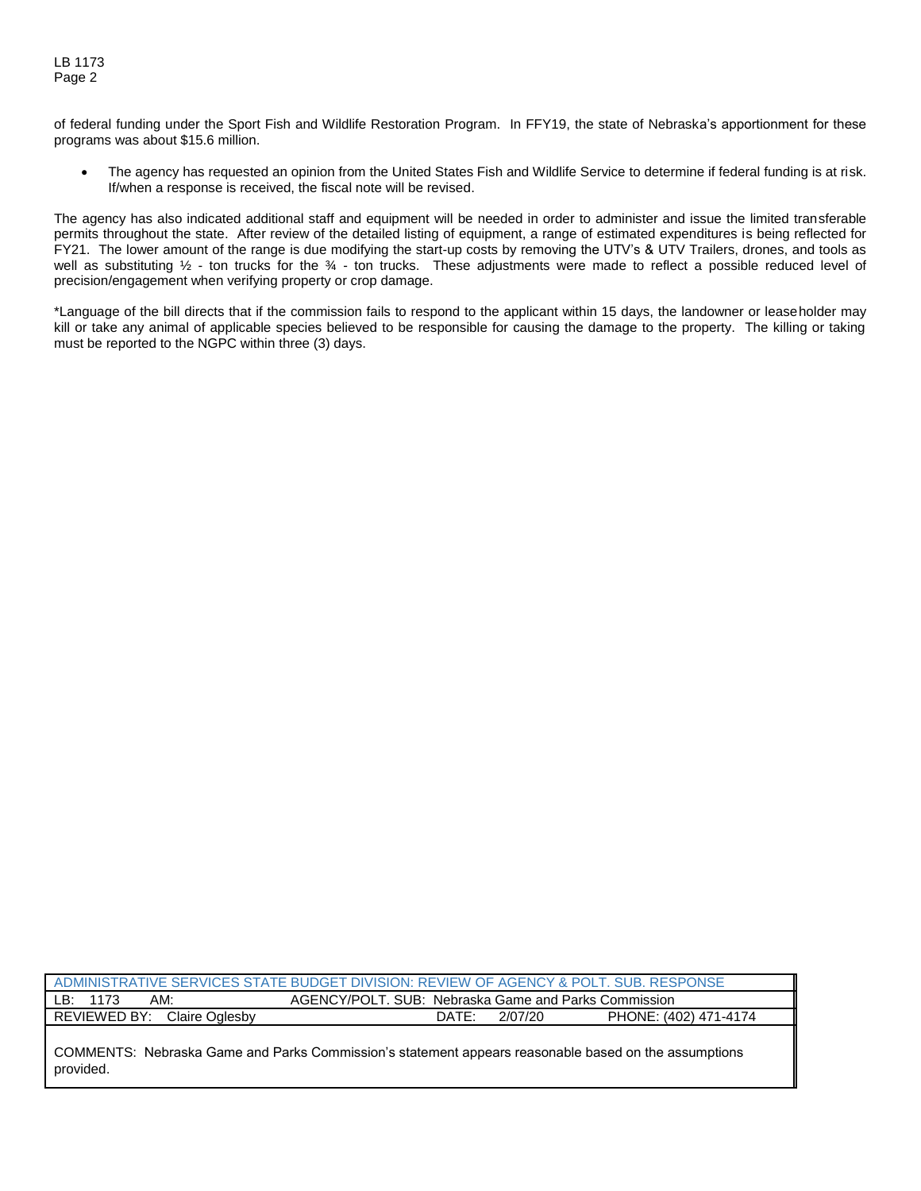of federal funding under the Sport Fish and Wildlife Restoration Program. In FFY19, the state of Nebraska's apportionment for these programs was about \$15.6 million.

 The agency has requested an opinion from the United States Fish and Wildlife Service to determine if federal funding is at risk. If/when a response is received, the fiscal note will be revised.

The agency has also indicated additional staff and equipment will be needed in order to administer and issue the limited transferable permits throughout the state. After review of the detailed listing of equipment, a range of estimated expenditures is being reflected for FY21. The lower amount of the range is due modifying the start-up costs by removing the UTV's & UTV Trailers, drones, and tools as well as substituting  $\frac{1}{2}$  - ton trucks for the  $\frac{3}{4}$  - ton trucks. These adjustments were made to reflect a possible reduced level of precision/engagement when verifying property or crop damage.

\*Language of the bill directs that if the commission fails to respond to the applicant within 15 days, the landowner or leaseholder may kill or take any animal of applicable species believed to be responsible for causing the damage to the property. The killing or taking must be reported to the NGPC within three (3) days.

| ADMINISTRATIVE SERVICES STATE BUDGET DIVISION: REVIEW OF AGENCY & POLT. SUB. RESPONSE                             |                  |                       |  |  |  |  |
|-------------------------------------------------------------------------------------------------------------------|------------------|-----------------------|--|--|--|--|
| AGENCY/POLT, SUB: Nebraska Game and Parks Commission<br>AM:<br>LB: 1173                                           |                  |                       |  |  |  |  |
| REVIEWED BY: Claire Oglesby                                                                                       | 2/07/20<br>DATE: | PHONE: (402) 471-4174 |  |  |  |  |
| COMMENTS: Nebraska Game and Parks Commission's statement appears reasonable based on the assumptions<br>provided. |                  |                       |  |  |  |  |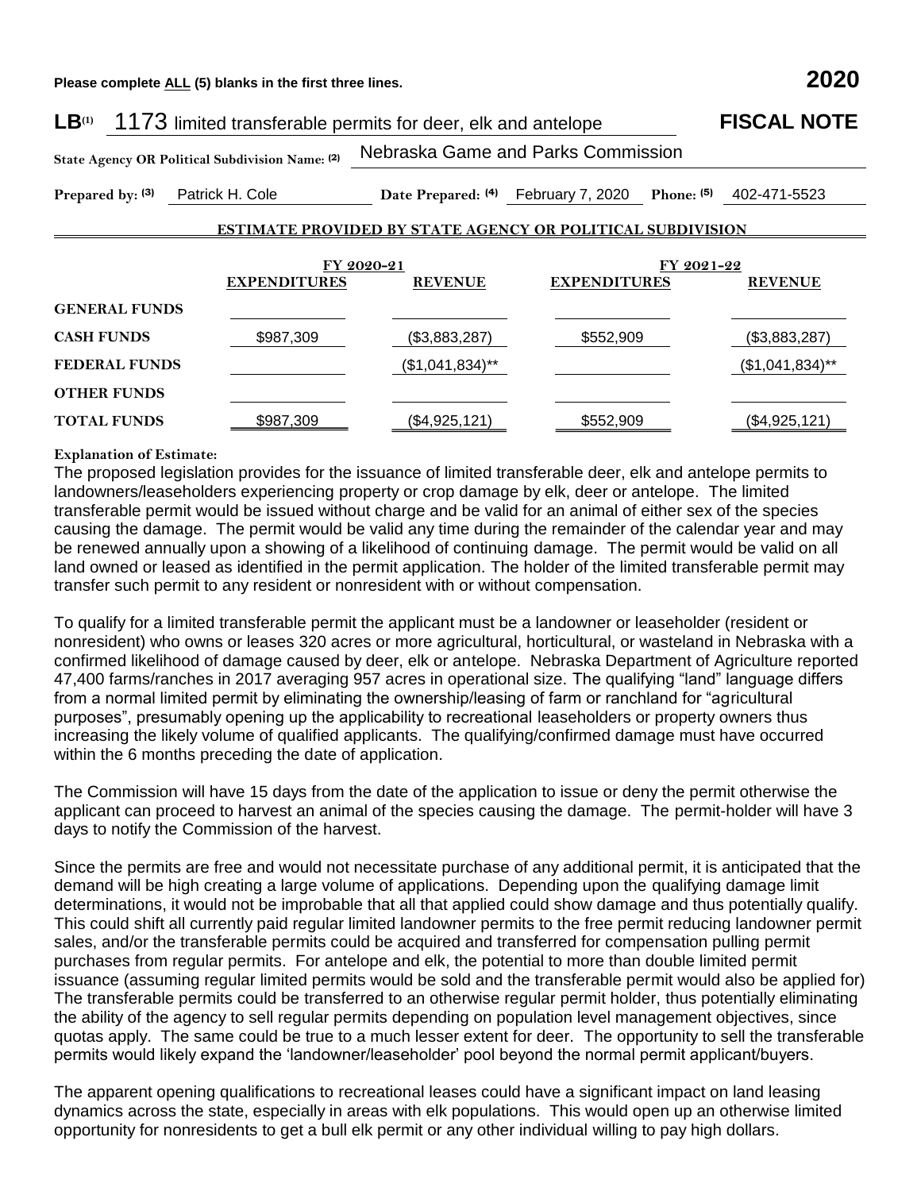**Please complete ALL (5) blanks in the first three lines. 2020**

| LB <sup>(1)</sup>    | 1173 limited transferable permits for deer, elk and antelope |                                                                   |                                     | <b>FISCAL NOTE</b>                    |
|----------------------|--------------------------------------------------------------|-------------------------------------------------------------------|-------------------------------------|---------------------------------------|
|                      | State Agency OR Political Subdivision Name: (2)              |                                                                   | Nebraska Game and Parks Commission  |                                       |
| Prepared by: (3)     | Patrick H. Cole                                              |                                                                   | Date Prepared: (4) February 7, 2020 | 402-471-5523<br>Phone: <sup>(5)</sup> |
|                      |                                                              | <b>ESTIMATE PROVIDED BY STATE AGENCY OR POLITICAL SUBDIVISION</b> |                                     |                                       |
|                      |                                                              |                                                                   |                                     |                                       |
|                      | <b>EXPENDITURES</b>                                          | FY 2020-21<br><b>REVENUE</b>                                      | <b>EXPENDITURES</b>                 | FY 2021-22<br><b>REVENUE</b>          |
| <b>GENERAL FUNDS</b> |                                                              |                                                                   |                                     |                                       |
| <b>CASH FUNDS</b>    | \$987,309                                                    | (\$3,883,287)                                                     | \$552,909                           | (\$3,883,287)                         |
| <b>FEDERAL FUNDS</b> |                                                              | $($1,041,834)$ **                                                 |                                     | $($1,041,834)$ **                     |
| <b>OTHER FUNDS</b>   |                                                              |                                                                   |                                     |                                       |
| <b>TOTAL FUNDS</b>   | \$987,309                                                    | (\$4,925,121)                                                     | \$552,909                           | (\$4,925,121)                         |

## **Explanation of Estimate:**

The proposed legislation provides for the issuance of limited transferable deer, elk and antelope permits to landowners/leaseholders experiencing property or crop damage by elk, deer or antelope. The limited transferable permit would be issued without charge and be valid for an animal of either sex of the species causing the damage. The permit would be valid any time during the remainder of the calendar year and may be renewed annually upon a showing of a likelihood of continuing damage. The permit would be valid on all land owned or leased as identified in the permit application. The holder of the limited transferable permit may transfer such permit to any resident or nonresident with or without compensation.

To qualify for a limited transferable permit the applicant must be a landowner or leaseholder (resident or nonresident) who owns or leases 320 acres or more agricultural, horticultural, or wasteland in Nebraska with a confirmed likelihood of damage caused by deer, elk or antelope. Nebraska Department of Agriculture reported 47,400 farms/ranches in 2017 averaging 957 acres in operational size. The qualifying "land" language differs from a normal limited permit by eliminating the ownership/leasing of farm or ranchland for "agricultural purposes", presumably opening up the applicability to recreational leaseholders or property owners thus increasing the likely volume of qualified applicants. The qualifying/confirmed damage must have occurred within the 6 months preceding the date of application.

The Commission will have 15 days from the date of the application to issue or deny the permit otherwise the applicant can proceed to harvest an animal of the species causing the damage. The permit-holder will have 3 days to notify the Commission of the harvest.

Since the permits are free and would not necessitate purchase of any additional permit, it is anticipated that the demand will be high creating a large volume of applications. Depending upon the qualifying damage limit determinations, it would not be improbable that all that applied could show damage and thus potentially qualify. This could shift all currently paid regular limited landowner permits to the free permit reducing landowner permit sales, and/or the transferable permits could be acquired and transferred for compensation pulling permit purchases from regular permits. For antelope and elk, the potential to more than double limited permit issuance (assuming regular limited permits would be sold and the transferable permit would also be applied for) The transferable permits could be transferred to an otherwise regular permit holder, thus potentially eliminating the ability of the agency to sell regular permits depending on population level management objectives, since quotas apply. The same could be true to a much lesser extent for deer. The opportunity to sell the transferable permits would likely expand the 'landowner/leaseholder' pool beyond the normal permit applicant/buyers.

The apparent opening qualifications to recreational leases could have a significant impact on land leasing dynamics across the state, especially in areas with elk populations. This would open up an otherwise limited opportunity for nonresidents to get a bull elk permit or any other individual willing to pay high dollars.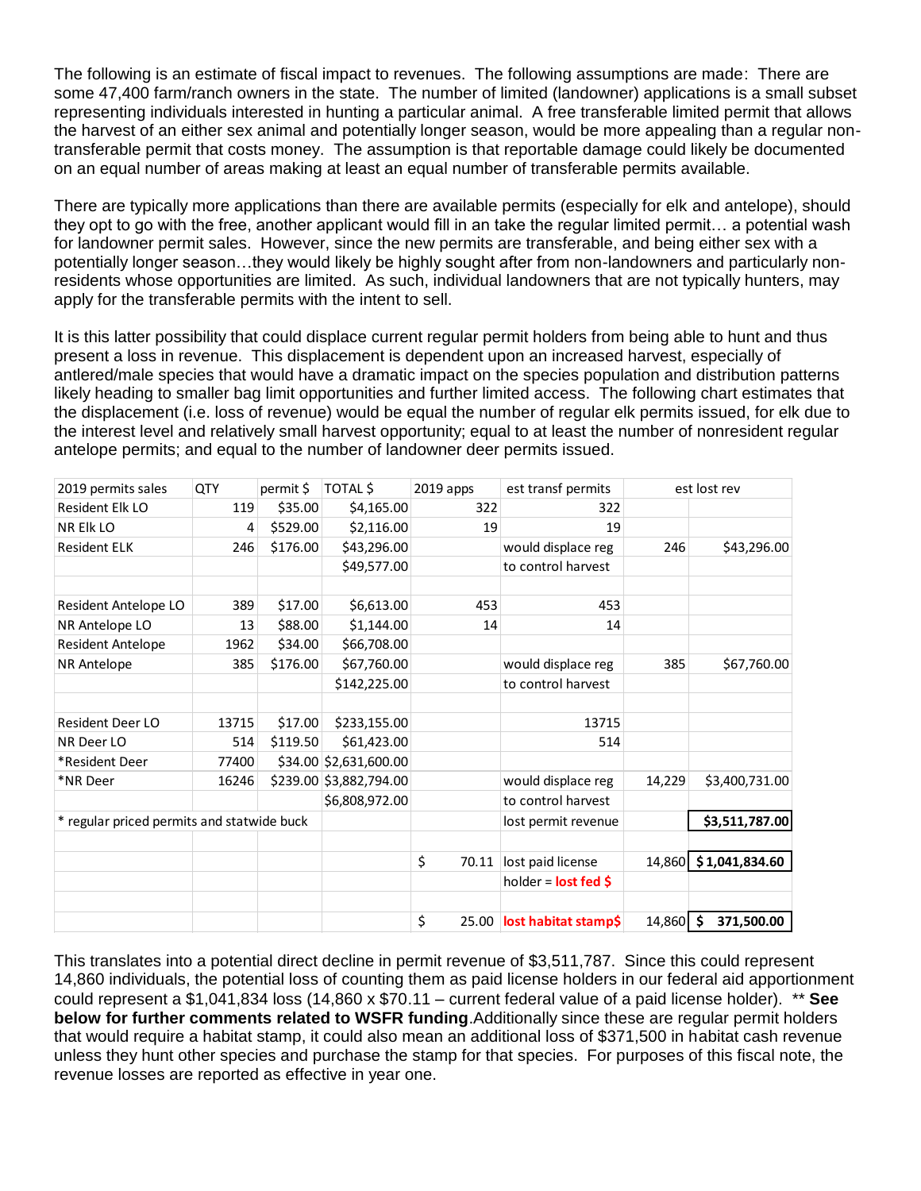The following is an estimate of fiscal impact to revenues. The following assumptions are made: There are some 47,400 farm/ranch owners in the state. The number of limited (landowner) applications is a small subset representing individuals interested in hunting a particular animal. A free transferable limited permit that allows the harvest of an either sex animal and potentially longer season, would be more appealing than a regular nontransferable permit that costs money. The assumption is that reportable damage could likely be documented on an equal number of areas making at least an equal number of transferable permits available.

There are typically more applications than there are available permits (especially for elk and antelope), should they opt to go with the free, another applicant would fill in an take the regular limited permit… a potential wash for landowner permit sales. However, since the new permits are transferable, and being either sex with a potentially longer season…they would likely be highly sought after from non-landowners and particularly nonresidents whose opportunities are limited. As such, individual landowners that are not typically hunters, may apply for the transferable permits with the intent to sell.

It is this latter possibility that could displace current regular permit holders from being able to hunt and thus present a loss in revenue. This displacement is dependent upon an increased harvest, especially of antlered/male species that would have a dramatic impact on the species population and distribution patterns likely heading to smaller bag limit opportunities and further limited access. The following chart estimates that the displacement (i.e. loss of revenue) would be equal the number of regular elk permits issued, for elk due to the interest level and relatively small harvest opportunity; equal to at least the number of nonresident regular antelope permits; and equal to the number of landowner deer permits issued.

| 2019 permits sales                         | QTY   | permit \$ | TOTAL \$                | $2019$ apps         | est transf permits                |                | est lost rev     |
|--------------------------------------------|-------|-----------|-------------------------|---------------------|-----------------------------------|----------------|------------------|
| Resident Elk LO                            | 119   | \$35.00   | \$4,165.00              | 322                 | 322                               |                |                  |
| NR Elk LO                                  | 4     | \$529.00  | \$2,116.00              | 19                  | 19                                |                |                  |
| <b>Resident ELK</b>                        | 246   | \$176.00  | \$43,296.00             |                     | would displace reg                | 246            | \$43,296.00      |
|                                            |       |           | \$49,577.00             |                     | to control harvest                |                |                  |
|                                            |       |           |                         |                     |                                   |                |                  |
| Resident Antelope LO                       | 389   | \$17.00   | \$6,613.00              | 453                 | 453                               |                |                  |
| NR Antelope LO                             | 13    | \$88.00   | \$1,144.00              | 14                  | 14                                |                |                  |
| <b>Resident Antelope</b>                   | 1962  | \$34.00   | \$66,708.00             |                     |                                   |                |                  |
| NR Antelope                                | 385   | \$176.00  | \$67,760.00             |                     | would displace reg                | 385            | \$67,760.00      |
|                                            |       |           | \$142,225.00            |                     | to control harvest                |                |                  |
|                                            |       |           |                         |                     |                                   |                |                  |
| <b>Resident Deer LO</b>                    | 13715 | \$17.00   | \$233,155.00            |                     | 13715                             |                |                  |
| NR Deer LO                                 | 514   | \$119.50  | \$61,423.00             |                     | 514                               |                |                  |
| *Resident Deer                             | 77400 |           | \$34.00 \$2,631,600.00  |                     |                                   |                |                  |
| *NR Deer                                   | 16246 |           | \$239.00 \$3,882,794.00 |                     | would displace reg                | 14,229         | \$3,400,731.00   |
|                                            |       |           | \$6,808,972.00          |                     | to control harvest                |                |                  |
| * regular priced permits and statwide buck |       |           |                         | lost permit revenue |                                   | \$3,511,787.00 |                  |
|                                            |       |           |                         |                     |                                   |                |                  |
|                                            |       |           |                         | \$<br>70.11         | lost paid license                 | 14,860         | \$1,041,834.60   |
|                                            |       |           |                         |                     | holder = $lost fed$ \$            |                |                  |
|                                            |       |           |                         |                     |                                   |                |                  |
|                                            |       |           |                         | \$                  | 25.00 <b>lost habitat stamp\$</b> | 14,860         | \$<br>371,500.00 |

This translates into a potential direct decline in permit revenue of \$3,511,787. Since this could represent 14,860 individuals, the potential loss of counting them as paid license holders in our federal aid apportionment could represent a \$1,041,834 loss (14,860 x \$70.11 – current federal value of a paid license holder). \*\* **See below for further comments related to WSFR funding**.Additionally since these are regular permit holders that would require a habitat stamp, it could also mean an additional loss of \$371,500 in habitat cash revenue unless they hunt other species and purchase the stamp for that species. For purposes of this fiscal note, the revenue losses are reported as effective in year one.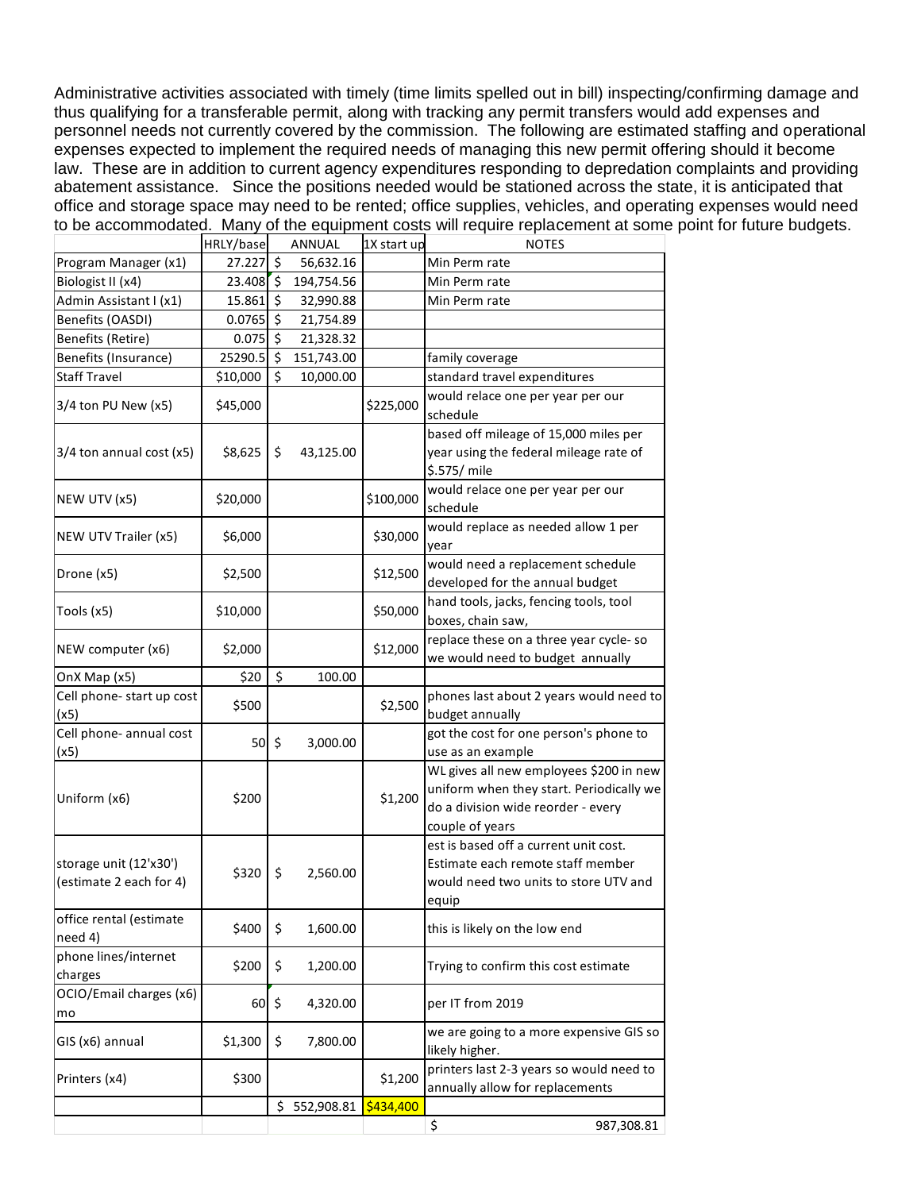Administrative activities associated with timely (time limits spelled out in bill) inspecting/confirming damage and thus qualifying for a transferable permit, along with tracking any permit transfers would add expenses and personnel needs not currently covered by the commission. The following are estimated staffing and operational expenses expected to implement the required needs of managing this new permit offering should it become law. These are in addition to current agency expenditures responding to depredation complaints and providing abatement assistance. Since the positions needed would be stationed across the state, it is anticipated that office and storage space may need to be rented; office supplies, vehicles, and operating expenses would need to be accommodated. Many of the equipment costs will require replacement at some point for future budgets.

|                                                   | HRLY/base |                     | ANNUAL     | 1X start up | <b>NOTES</b>                                                                                                                                 |
|---------------------------------------------------|-----------|---------------------|------------|-------------|----------------------------------------------------------------------------------------------------------------------------------------------|
| Program Manager (x1)                              | 27.227    | $\zeta$             | 56,632.16  |             | Min Perm rate                                                                                                                                |
| Biologist II (x4)                                 | 23.408    | ς.                  | 194,754.56 |             | Min Perm rate                                                                                                                                |
| Admin Assistant I (x1)                            | 15.861    | $\ddot{\mathsf{s}}$ | 32,990.88  |             | Min Perm rate                                                                                                                                |
| Benefits (OASDI)                                  | 0.0765    | $\zeta$             | 21,754.89  |             |                                                                                                                                              |
| Benefits (Retire)                                 | 0.075     | $\zeta$             | 21,328.32  |             |                                                                                                                                              |
| Benefits (Insurance)                              | 25290.5   | $\zeta$             | 151,743.00 |             | family coverage                                                                                                                              |
| <b>Staff Travel</b>                               | \$10,000  | \$                  | 10,000.00  |             | standard travel expenditures                                                                                                                 |
| 3/4 ton PU New (x5)                               | \$45,000  |                     |            | \$225,000   | would relace one per year per our<br>schedule                                                                                                |
| 3/4 ton annual cost (x5)                          | \$8,625   | \$                  | 43,125.00  |             | based off mileage of 15,000 miles per<br>year using the federal mileage rate of<br>\$.575/ mile                                              |
| NEW UTV (x5)                                      | \$20,000  |                     |            | \$100,000   | would relace one per year per our<br>schedule                                                                                                |
| NEW UTV Trailer (x5)                              | \$6,000   |                     |            | \$30,000    | would replace as needed allow 1 per<br>year                                                                                                  |
| Drone (x5)                                        | \$2,500   |                     |            | \$12,500    | would need a replacement schedule<br>developed for the annual budget                                                                         |
| Tools (x5)                                        | \$10,000  |                     |            | \$50,000    | hand tools, jacks, fencing tools, tool<br>boxes, chain saw,                                                                                  |
| NEW computer (x6)                                 | \$2,000   |                     |            | \$12,000    | replace these on a three year cycle-so<br>we would need to budget annually                                                                   |
| OnX Map (x5)                                      | \$20      | $\zeta$             | 100.00     |             |                                                                                                                                              |
| Cell phone- start up cost<br>(x5)                 | \$500     |                     |            | \$2,500     | phones last about 2 years would need to<br>budget annually                                                                                   |
| Cell phone- annual cost<br>(x5)                   | 50        | $\zeta$             | 3,000.00   |             | got the cost for one person's phone to<br>use as an example                                                                                  |
| Uniform (x6)                                      | \$200     |                     |            | \$1,200     | WL gives all new employees \$200 in new<br>uniform when they start. Periodically we<br>do a division wide reorder - every<br>couple of years |
| storage unit (12'x30')<br>(estimate 2 each for 4) | \$320     | \$                  | 2,560.00   |             | est is based off a current unit cost.<br>Estimate each remote staff member<br>would need two units to store UTV and<br>equip                 |
| office rental (estimate<br>need 4)                | \$400     | \$                  | 1,600.00   |             | this is likely on the low end                                                                                                                |
| phone lines/internet<br>charges                   | \$200     | \$                  | 1,200.00   |             | Trying to confirm this cost estimate                                                                                                         |
| OCIO/Email charges (x6)<br>mo                     | 60        | \$                  | 4,320.00   |             | per IT from 2019                                                                                                                             |
| GIS (x6) annual                                   | \$1,300   | \$                  | 7,800.00   |             | we are going to a more expensive GIS so<br>likely higher.                                                                                    |
| Printers (x4)                                     | \$300     |                     |            | \$1,200     | printers last 2-3 years so would need to<br>annually allow for replacements                                                                  |
|                                                   |           | \$                  | 552,908.81 | \$434,400   |                                                                                                                                              |
|                                                   |           |                     |            |             | \$<br>987,308.81                                                                                                                             |